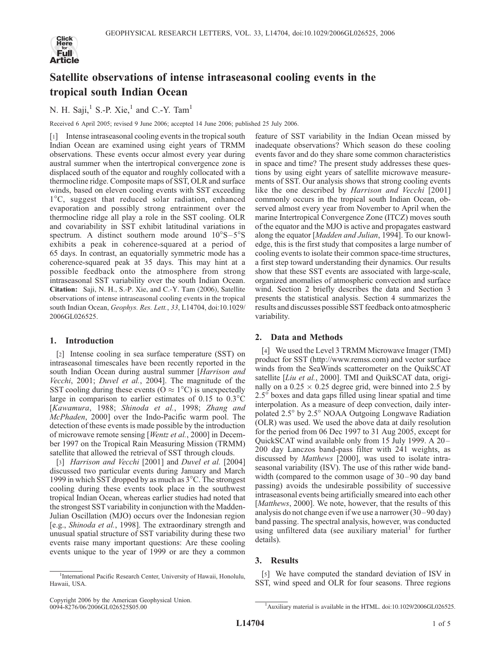

# Satellite observations of intense intraseasonal cooling events in the tropical south Indian Ocean

## N. H. Saji, $<sup>1</sup>$  S.-P. Xie, $<sup>1</sup>$  and C.-Y. Tam<sup>1</sup></sup></sup>

Received 6 April 2005; revised 9 June 2006; accepted 14 June 2006; published 25 July 2006.

[1] Intense intraseasonal cooling events in the tropical south Indian Ocean are examined using eight years of TRMM observations. These events occur almost every year during austral summer when the intertropical convergence zone is displaced south of the equator and roughly collocated with a thermocline ridge. Composite maps of SST, OLR and surface winds, based on eleven cooling events with SST exceeding 1°C, suggest that reduced solar radiation, enhanced evaporation and possibly strong entrainment over the thermocline ridge all play a role in the SST cooling. OLR and covariability in SST exhibit latitudinal variations in spectrum. A distinct southern mode around  $10^{\circ}S - 5^{\circ}S$ exhibits a peak in coherence-squared at a period of 65 days. In contrast, an equatorially symmetric mode has a coherence-squared peak at 35 days. This may hint at a possible feedback onto the atmosphere from strong intraseasonal SST variability over the south Indian Ocean. Citation: Saji, N. H., S.-P. Xie, and C.-Y. Tam (2006), Satellite observations of intense intraseasonal cooling events in the tropical south Indian Ocean, Geophys. Res. Lett., 33, L14704, doi:10.1029/ 2006GL026525.

### 1. Introduction

[2] Intense cooling in sea surface temperature (SST) on intraseasonal timescales have been recently reported in the south Indian Ocean during austral summer [Harrison and Vecchi, 2001; Duvel et al., 2004]. The magnitude of the SST cooling during these events ( $O \approx 1^{\circ}C$ ) is unexpectedly large in comparison to earlier estimates of  $0.15$  to  $0.3^{\circ}$ C [Kawamura, 1988; Shinoda et al., 1998; Zhang and McPhaden, 2000] over the Indo-Pacific warm pool. The detection of these events is made possible by the introduction of microwave remote sensing [Wentz et al., 2000] in December 1997 on the Tropical Rain Measuring Mission (TRMM) satellite that allowed the retrieval of SST through clouds.

[3] *Harrison and Vecchi* [2001] and *Duvel et al.* [2004] discussed two particular events during January and March 1999 in which SST dropped by as much as  $3^{\circ}$ C. The strongest cooling during these events took place in the southwest tropical Indian Ocean, whereas earlier studies had noted that the strongest SST variability in conjunction with the Madden-Julian Oscillation (MJO) occurs over the Indonesian region [e.g., Shinoda et al., 1998]. The extraordinary strength and unusual spatial structure of SST variability during these two events raise many important questions: Are these cooling events unique to the year of 1999 or are they a common

<sup>1</sup>International Pacific Research Center, University of Hawaii, Honolulu, Hawaii, USA.

feature of SST variability in the Indian Ocean missed by inadequate observations? Which season do these cooling events favor and do they share some common characteristics in space and time? The present study addresses these questions by using eight years of satellite microwave measurements of SST. Our analysis shows that strong cooling events like the one described by Harrison and Vecchi [2001] commonly occurs in the tropical south Indian Ocean, observed almost every year from November to April when the marine Intertropical Convergence Zone (ITCZ) moves south of the equator and the MJO is active and propagates eastward along the equator [*Madden and Julian*, 1994]. To our knowledge, this is the first study that composites a large number of cooling events to isolate their common space-time structures, a first step toward understanding their dynamics. Our results show that these SST events are associated with large-scale, organized anomalies of atmospheric convection and surface wind. Section 2 briefly describes the data and Section 3 presents the statistical analysis. Section 4 summarizes the results and discusses possible SST feedback onto atmospheric variability.

## 2. Data and Methods

[4] We used the Level 3 TRMM Microwave Imager (TMI) product for SST (http://www.remss.com) and vector surface winds from the SeaWinds scatterometer on the QuikSCAT satellite [*Liu et al.*, 2000]. TMI and QuikSCAT data, originally on a  $0.25 \times 0.25$  degree grid, were binned into 2.5 by  $2.5^\circ$  boxes and data gaps filled using linear spatial and time interpolation. As a measure of deep convection, daily interpolated 2.5° by 2.5° NOAA Outgoing Longwave Radiation (OLR) was used. We used the above data at daily resolution for the period from 06 Dec 1997 to 31 Aug 2005, except for QuickSCAT wind available only from 15 July 1999. A 20-200 day Lanczos band-pass filter with 241 weights, as discussed by Matthews [2000], was used to isolate intraseasonal variability (ISV). The use of this rather wide bandwidth (compared to the common usage of 30–90 day band passing) avoids the undesirable possibility of successive intraseasonal events being artificially smeared into each other [Matthews, 2000]. We note, however, that the results of this analysis do not change even if we use a narrower (30 –90 day) band passing. The spectral analysis, however, was conducted using unfiltered data (see auxiliary material<sup>1</sup> for further details).

## 3. Results

[5] We have computed the standard deviation of ISV in SST, wind speed and OLR for four seasons. Three regions

Copyright 2006 by the American Geophysical Union. 0094-8276/06/2006GL026525\$05.00

<sup>&</sup>lt;sup>1</sup>Auxiliary material is available in the HTML. doi:10.1029/2006GL026525.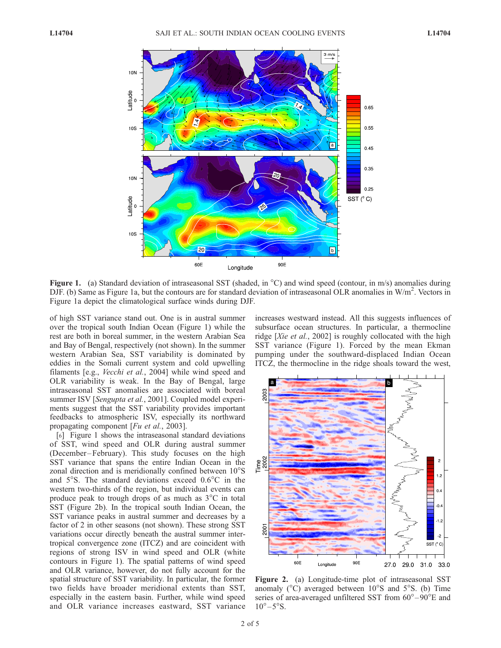

Figure 1. (a) Standard deviation of intraseasonal SST (shaded, in  $^{\circ}$ C) and wind speed (contour, in m/s) anomalies during DJF. (b) Same as Figure 1a, but the contours are for standard deviation of intraseasonal OLR anomalies in  $W/m^2$ . Vectors in Figure 1a depict the climatological surface winds during DJF.

of high SST variance stand out. One is in austral summer over the tropical south Indian Ocean (Figure 1) while the rest are both in boreal summer, in the western Arabian Sea and Bay of Bengal, respectively (not shown). In the summer western Arabian Sea, SST variability is dominated by eddies in the Somali current system and cold upwelling filaments [e.g., Vecchi et al., 2004] while wind speed and OLR variability is weak. In the Bay of Bengal, large intraseasonal SST anomalies are associated with boreal summer ISV [Sengupta et al., 2001]. Coupled model experiments suggest that the SST variability provides important feedbacks to atmospheric ISV, especially its northward propagating component [Fu et al., 2003].

[6] Figure 1 shows the intraseasonal standard deviations of SST, wind speed and OLR during austral summer (December –February). This study focuses on the high SST variance that spans the entire Indian Ocean in the zonal direction and is meridionally confined between 10°S and  $5^{\circ}$ S. The standard deviations exceed  $0.6^{\circ}$ C in the western two-thirds of the region, but individual events can produce peak to trough drops of as much as  $3^{\circ}$ C in total SST (Figure 2b). In the tropical south Indian Ocean, the SST variance peaks in austral summer and decreases by a factor of 2 in other seasons (not shown). These strong SST variations occur directly beneath the austral summer intertropical convergence zone (ITCZ) and are coincident with regions of strong ISV in wind speed and OLR (white contours in Figure 1). The spatial patterns of wind speed and OLR variance, however, do not fully account for the spatial structure of SST variability. In particular, the former two fields have broader meridional extents than SST, especially in the eastern basin. Further, while wind speed and OLR variance increases eastward, SST variance increases westward instead. All this suggests influences of subsurface ocean structures. In particular, a thermocline ridge [Xie et al., 2002] is roughly collocated with the high SST variance (Figure 1). Forced by the mean Ekman pumping under the southward-displaced Indian Ocean ITCZ, the thermocline in the ridge shoals toward the west,



Figure 2. (a) Longitude-time plot of intraseasonal SST anomaly  $(^{\circ}C)$  averaged between 10 $^{\circ}S$  and 5 $^{\circ}S$ . (b) Time series of area-averaged unfiltered SST from  $60^{\circ}-90^{\circ}$ E and  $10^{\circ} - 5^{\circ}$ S.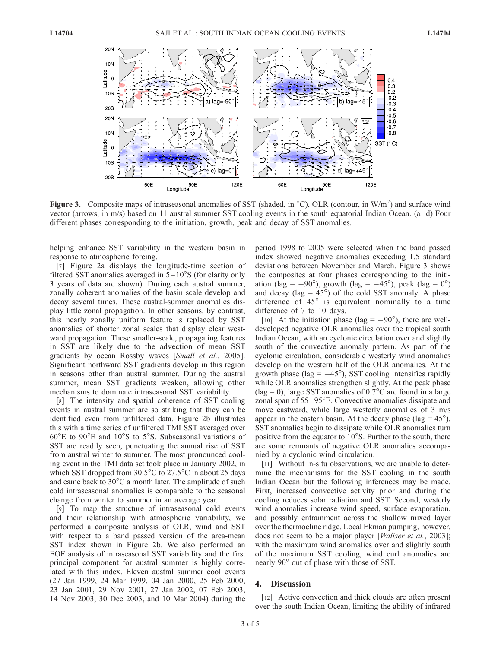

Figure 3. Composite maps of intraseasonal anomalies of SST (shaded, in  $^{\circ}$ C), OLR (contour, in W/m<sup>2</sup>) and surface wind vector (arrows, in m/s) based on 11 austral summer SST cooling events in the south equatorial Indian Ocean.  $(a-d)$  Four different phases corresponding to the initiation, growth, peak and decay of SST anomalies.

helping enhance SST variability in the western basin in response to atmospheric forcing.

[7] Figure 2a displays the longitude-time section of filtered SST anomalies averaged in  $5-10^{\circ}$ S (for clarity only 3 years of data are shown). During each austral summer, zonally coherent anomalies of the basin scale develop and decay several times. These austral-summer anomalies display little zonal propagation. In other seasons, by contrast, this nearly zonally uniform feature is replaced by SST anomalies of shorter zonal scales that display clear westward propagation. These smaller-scale, propagating features in SST are likely due to the advection of mean SST gradients by ocean Rossby waves [Small et al., 2005]. Significant northward SST gradients develop in this region in seasons other than austral summer. During the austral summer, mean SST gradients weaken, allowing other mechanisms to dominate intraseasonal SST variability.

[8] The intensity and spatial coherence of SST cooling events in austral summer are so striking that they can be identified even from unfiltered data. Figure 2b illustrates this with a time series of unfiltered TMI SST averaged over  $60^{\circ}$ E to  $90^{\circ}$ E and  $10^{\circ}$ S to  $5^{\circ}$ S. Subseasonal variations of SST are readily seen, punctuating the annual rise of SST from austral winter to summer. The most pronounced cooling event in the TMI data set took place in January 2002, in which SST dropped from  $30.5^{\circ}$ C to  $27.5^{\circ}$ C in about 25 days and came back to  $30^{\circ}$ C a month later. The amplitude of such cold intraseasonal anomalies is comparable to the seasonal change from winter to summer in an average year.

[9] To map the structure of intraseasonal cold events and their relationship with atmospheric variability, we performed a composite analysis of OLR, wind and SST with respect to a band passed version of the area-mean SST index shown in Figure 2b. We also performed an EOF analysis of intraseasonal SST variability and the first principal component for austral summer is highly correlated with this index. Eleven austral summer cool events (27 Jan 1999, 24 Mar 1999, 04 Jan 2000, 25 Feb 2000, 23 Jan 2001, 29 Nov 2001, 27 Jan 2002, 07 Feb 2003, 14 Nov 2003, 30 Dec 2003, and 10 Mar 2004) during the period 1998 to 2005 were selected when the band passed index showed negative anomalies exceeding 1.5 standard deviations between November and March. Figure 3 shows the composites at four phases corresponding to the initiation (lag =  $-90^{\circ}$ ), growth (lag =  $-45^{\circ}$ ), peak (lag =  $0^{\circ}$ ) and decay (lag =  $45^{\circ}$ ) of the cold SST anomaly. A phase difference of  $45^\circ$  is equivalent nominally to a time difference of 7 to 10 days.

[10] At the initiation phase (lag =  $-90^{\circ}$ ), there are welldeveloped negative OLR anomalies over the tropical south Indian Ocean, with an cyclonic circulation over and slightly south of the convective anomaly pattern. As part of the cyclonic circulation, considerable westerly wind anomalies develop on the western half of the OLR anomalies. At the growth phase (lag  $= -45^{\circ}$ ), SST cooling intensifies rapidly while OLR anomalies strengthen slightly. At the peak phase  $(lag = 0)$ , large SST anomalies of 0.7°C are found in a large zonal span of  $55-95^{\circ}$ E. Convective anomalies dissipate and move eastward, while large westerly anomalies of 3 m/s appear in the eastern basin. At the decay phase (lag =  $45^{\circ}$ ), SST anomalies begin to dissipate while OLR anomalies turn positive from the equator to  $10^{\circ}$ S. Further to the south, there are some remnants of negative OLR anomalies accompanied by a cyclonic wind circulation.

[11] Without in-situ observations, we are unable to determine the mechanisms for the SST cooling in the south Indian Ocean but the following inferences may be made. First, increased convective activity prior and during the cooling reduces solar radiation and SST. Second, westerly wind anomalies increase wind speed, surface evaporation, and possibly entrainment across the shallow mixed layer over the thermocline ridge. Local Ekman pumping, however, does not seem to be a major player [*Waliser et al.*, 2003]; with the maximum wind anomalies over and slightly south of the maximum SST cooling, wind curl anomalies are nearly 90° out of phase with those of SST.

#### 4. Discussion

[12] Active convection and thick clouds are often present over the south Indian Ocean, limiting the ability of infrared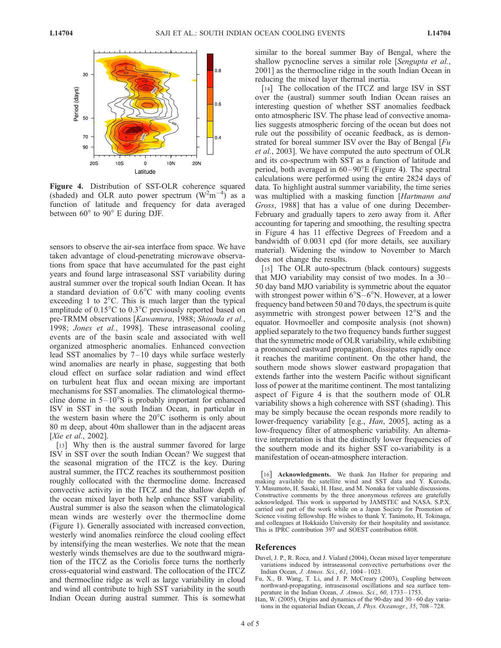

Figure 4. Distribution of SST-OLR coherence squared (shaded) and OLR auto power spectrum  $(W^2m^{-4})$  as a function of latitude and frequency for data averaged between  $60^{\circ}$  to  $90^{\circ}$  E during DJF.

sensors to observe the air-sea interface from space. We have taken advantage of cloud-penetrating microwave observations from space that have accumulated for the past eight years and found large intraseasonal SST variability during austral summer over the tropical south Indian Ocean. It has a standard deviation of  $0.6^{\circ}$ C with many cooling events exceeding 1 to  $2^{\circ}$ C. This is much larger than the typical amplitude of  $0.15^{\circ}$ C to  $0.3^{\circ}$ C previously reported based on pre-TRMM observations [Kawamura, 1988; Shinoda et al., 1998; Jones et al., 1998]. These intraseasonal cooling events are of the basin scale and associated with well organized atmospheric anomalies. Enhanced convection lead SST anomalies by 7– 10 days while surface westerly wind anomalies are nearly in phase, suggesting that both cloud effect on surface solar radiation and wind effect on turbulent heat flux and ocean mixing are important mechanisms for SST anomalies. The climatological thermocline dome in  $5-10^{\circ}$ S is probably important for enhanced ISV in SST in the south Indian Ocean, in particular in the western basin where the  $20^{\circ}$ C isotherm is only about 80 m deep, about 40m shallower than in the adjacent areas [Xie et al., 2002].

[13] Why then is the austral summer favored for large ISV in SST over the south Indian Ocean? We suggest that the seasonal migration of the ITCZ is the key. During austral summer, the ITCZ reaches its southernmost position roughly collocated with the thermocline dome. Increased convective activity in the ITCZ and the shallow depth of the ocean mixed layer both help enhance SST variability. Austral summer is also the season when the climatological mean winds are westerly over the thermocline dome (Figure 1). Generally associated with increased convection, westerly wind anomalies reinforce the cloud cooling effect by intensifying the mean westerlies. We note that the mean westerly winds themselves are due to the southward migration of the ITCZ as the Coriolis force turns the northerly cross-equatorial wind eastward. The collocation of the ITCZ and thermocline ridge as well as large variability in cloud and wind all contribute to high SST variability in the south Indian Ocean during austral summer. This is somewhat

similar to the boreal summer Bay of Bengal, where the shallow pycnocline serves a similar role [Sengupta et al., 2001] as the thermocline ridge in the south Indian Ocean in reducing the mixed layer thermal inertia.

[14] The collocation of the ITCZ and large ISV in SST over the (austral) summer south Indian Ocean raises an interesting question of whether SST anomalies feedback onto atmospheric ISV. The phase lead of convective anomalies suggests atmospheric forcing of the ocean but does not rule out the possibility of oceanic feedback, as is demonstrated for boreal summer ISV over the Bay of Bengal  $[Fu]$ et al., 2003]. We have computed the auto spectrum of OLR and its co-spectrum with SST as a function of latitude and period, both averaged in  $60 - 90^{\circ}E$  (Figure 4). The spectral calculations were performed using the entire 2824 days of data. To highlight austral summer variability, the time series was multiplied with a masking function [Hartmann and Gross, 1988] that has a value of one during December-February and gradually tapers to zero away from it. After accounting for tapering and smoothing, the resulting spectra in Figure 4 has 11 effective Degrees of Freedom and a bandwidth of 0.0031 cpd (for more details, see auxiliary material). Widening the window to November to March does not change the results.

[15] The OLR auto-spectrum (black contours) suggests that MJO variability may consist of two modes. In a  $30-$ 50 day band MJO variability is symmetric about the equator with strongest power within  $6^{\circ}S-6^{\circ}N$ . However, at a lower frequency band between 50 and 70 days, the spectrum is quite asymmetric with strongest power between  $12^{\circ}$ S and the equator. Hovmoeller and composite analysis (not shown) applied separately to the two frequency bands further suggest that the symmetric mode of OLR variability, while exhibiting a pronounced eastward propagation, dissipates rapidly once it reaches the maritime continent. On the other hand, the southern mode shows slower eastward propagation that extends farther into the western Pacific without significant loss of power at the maritime continent. The most tantalizing aspect of Figure 4 is that the southern mode of OLR variability shows a high coherence with SST (shading). This may be simply because the ocean responds more readily to lower-frequency variability [e.g., *Han*, 2005], acting as a low-frequency filter of atmospheric variability. An alternative interpretation is that the distinctly lower frequencies of the southern mode and its higher SST co-variability is a manifestation of ocean-atmosphere interaction.

[16] **Acknowledgments.** We thank Jan Hafner for preparing and making available the satellite wind and SST data and Y. Kuroda, Y. Masumoto, H. Sasaki, H. Hase, and M. Nonaka for valuable discussions. Constructive comments by the three anonymous referees are gratefully acknowledged. This work is supported by JAMSTEC and NASA. S.P.X. carried out part of the work while on a Japan Society for Promotion of Science visiting fellowship. He wishes to thank Y. Tanimoto, H. Tokinaga, and colleagues at Hokkaido University for their hospitality and assistance. This is IPRC contribution 397 and SOEST contribution 6808.

#### References

- Duvel, J. P., R. Roca, and J. Vialard (2004), Ocean mixed layer temperature variations induced by intraseasonal convective perturbations over the Indian Ocean, J. Atmos. Sci., 61, 1004 – 1023.
- Fu, X., B. Wang, T. Li, and J. P. McCreary (2003), Coupling between northward-propagating, intraseasonal oscillations and sea surface temperature in the Indian Ocean, J. Atmos. Sci., 60, 1733-1753.
- Han, W. (2005), Origins and dynamics of the 90-day and 30-60 day variations in the equatorial Indian Ocean, J. Phys. Oceanogr., 35, 708 – 728.